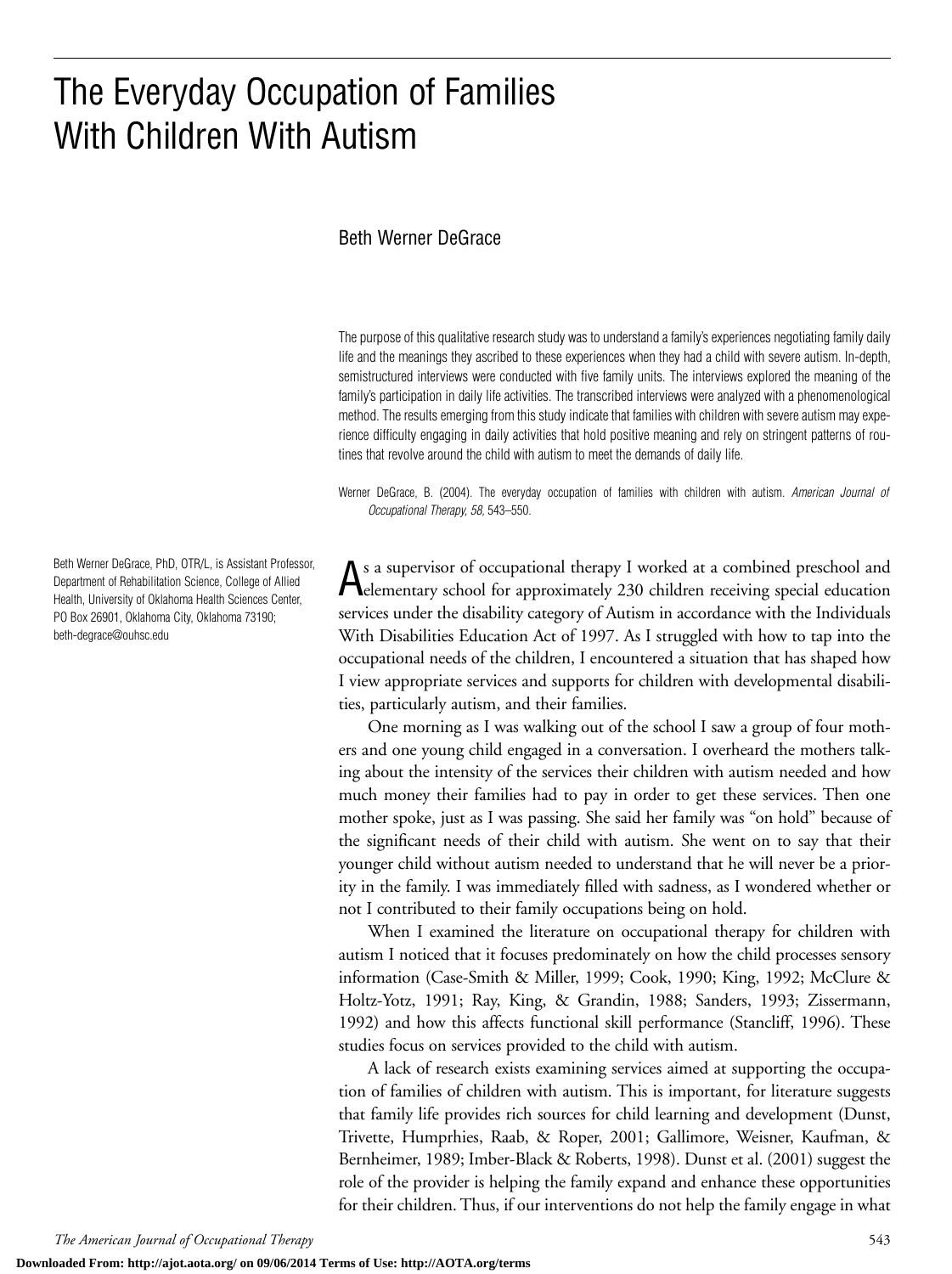# The Everyday Occupation of Families With Children With Autism

#### Beth Werner DeGrace

The purpose of this qualitative research study was to understand a family's experiences negotiating family daily life and the meanings they ascribed to these experiences when they had a child with severe autism. In-depth, semistructured interviews were conducted with five family units. The interviews explored the meaning of the family's participation in daily life activities. The transcribed interviews were analyzed with a phenomenological method. The results emerging from this study indicate that families with children with severe autism may experience difficulty engaging in daily activities that hold positive meaning and rely on stringent patterns of routines that revolve around the child with autism to meet the demands of daily life.

Werner DeGrace, B. (2004). The everyday occupation of families with children with autism. *American Journal of Occupational Therapy, 58,* 543–550.

As a supervisor of occupational therapy I worked at a combined preschool and elementary school for approximately 230 children receiving special education services under the disability category of Autism in accordance with the Individuals With Disabilities Education Act of 1997. As I struggled with how to tap into the occupational needs of the children, I encountered a situation that has shaped how I view appropriate services and supports for children with developmental disabilities, particularly autism, and their families.

One morning as I was walking out of the school I saw a group of four mothers and one young child engaged in a conversation. I overheard the mothers talking about the intensity of the services their children with autism needed and how much money their families had to pay in order to get these services. Then one mother spoke, just as I was passing. She said her family was "on hold" because of the significant needs of their child with autism. She went on to say that their younger child without autism needed to understand that he will never be a priority in the family. I was immediately filled with sadness, as I wondered whether or not I contributed to their family occupations being on hold.

When I examined the literature on occupational therapy for children with autism I noticed that it focuses predominately on how the child processes sensory information (Case-Smith & Miller, 1999; Cook, 1990; King, 1992; McClure & Holtz-Yotz, 1991; Ray, King, & Grandin, 1988; Sanders, 1993; Zissermann, 1992) and how this affects functional skill performance (Stancliff, 1996). These studies focus on services provided to the child with autism.

A lack of research exists examining services aimed at supporting the occupation of families of children with autism. This is important, for literature suggests that family life provides rich sources for child learning and development (Dunst, Trivette, Humprhies, Raab, & Roper, 2001; Gallimore, Weisner, Kaufman, & Bernheimer, 1989; Imber-Black & Roberts, 1998). Dunst et al. (2001) suggest the role of the provider is helping the family expand and enhance these opportunities for their children. Thus, if our interventions do not help the family engage in what

Beth Werner DeGrace, PhD, OTR/L, is Assistant Professor, Department of Rehabilitation Science, College of Allied Health, University of Oklahoma Health Sciences Center, PO Box 26901, Oklahoma City, Oklahoma 73190; beth-degrace@ouhsc.edu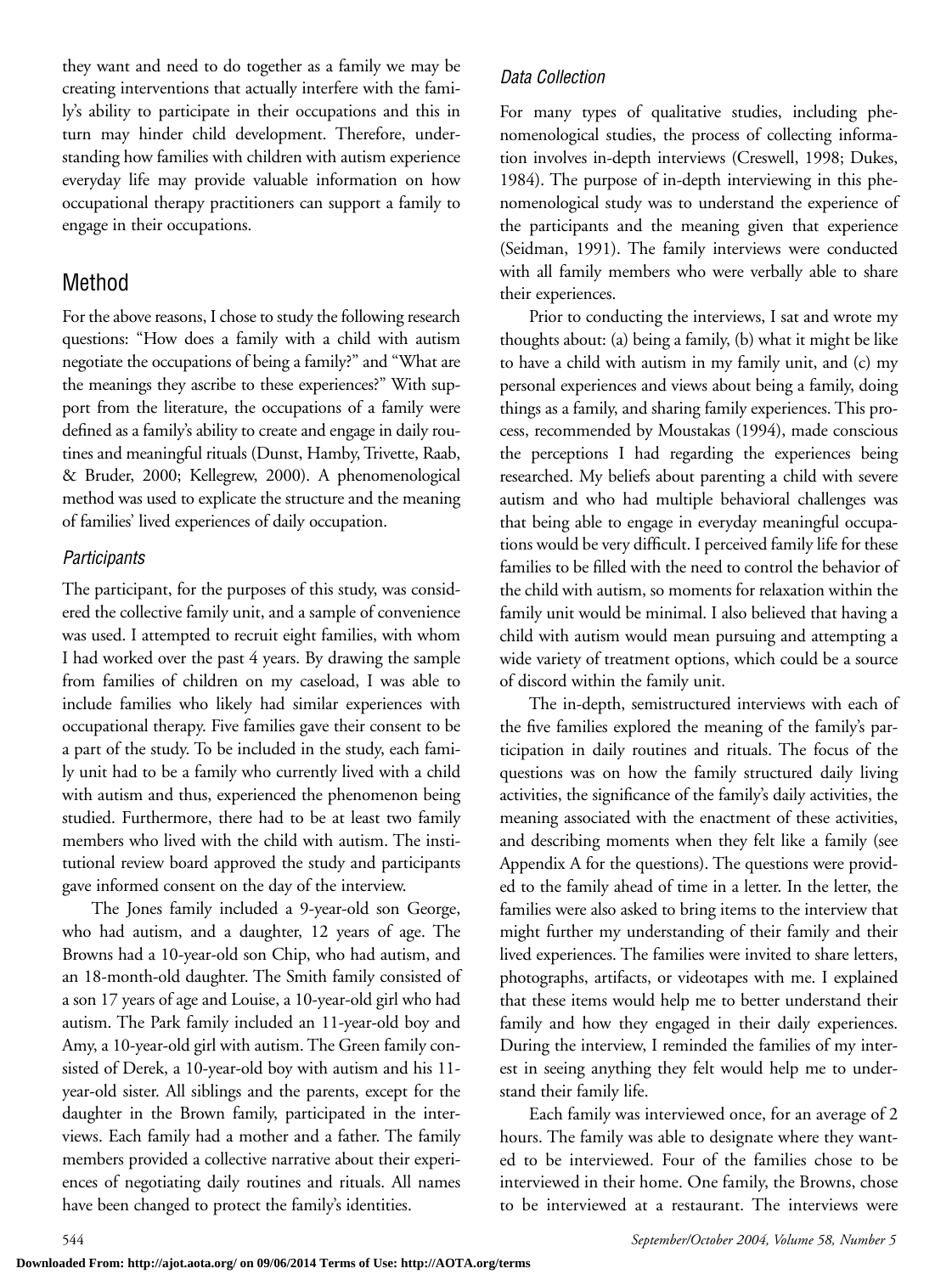they want and need to do together as a family we may be creating interventions that actually interfere with the family's ability to participate in their occupations and this in turn may hinder child development. Therefore, understanding how families with children with autism experience everyday life may provide valuable information on how occupational therapy practitioners can support a family to engage in their occupations.

# Method

For the above reasons, I chose to study the following research questions: "How does a family with a child with autism negotiate the occupations of being a family?" and "What are the meanings they ascribe to these experiences?" With support from the literature, the occupations of a family were defined as a family's ability to create and engage in daily routines and meaningful rituals (Dunst, Hamby, Trivette, Raab, & Bruder, 2000; Kellegrew, 2000). A phenomenological method was used to explicate the structure and the meaning of families' lived experiences of daily occupation.

#### *Participants*

The participant, for the purposes of this study, was considered the collective family unit, and a sample of convenience was used. I attempted to recruit eight families, with whom I had worked over the past 4 years. By drawing the sample from families of children on my caseload, I was able to include families who likely had similar experiences with occupational therapy. Five families gave their consent to be a part of the study. To be included in the study, each family unit had to be a family who currently lived with a child with autism and thus, experienced the phenomenon being studied. Furthermore, there had to be at least two family members who lived with the child with autism. The institutional review board approved the study and participants gave informed consent on the day of the interview.

The Jones family included a 9-year-old son George, who had autism, and a daughter, 12 years of age. The Browns had a 10-year-old son Chip, who had autism, and an 18-month-old daughter. The Smith family consisted of a son 17 years of age and Louise, a 10-year-old girl who had autism. The Park family included an 11-year-old boy and Amy, a 10-year-old girl with autism. The Green family consisted of Derek, a 10-year-old boy with autism and his 11 year-old sister. All siblings and the parents, except for the daughter in the Brown family, participated in the interviews. Each family had a mother and a father. The family members provided a collective narrative about their experiences of negotiating daily routines and rituals. All names have been changed to protect the family's identities.

## *Data Collection*

For many types of qualitative studies, including phenomenological studies, the process of collecting information involves in-depth interviews (Creswell, 1998; Dukes, 1984). The purpose of in-depth interviewing in this phenomenological study was to understand the experience of the participants and the meaning given that experience (Seidman, 1991). The family interviews were conducted with all family members who were verbally able to share their experiences.

Prior to conducting the interviews, I sat and wrote my thoughts about: (a) being a family, (b) what it might be like to have a child with autism in my family unit, and (c) my personal experiences and views about being a family, doing things as a family, and sharing family experiences. This process, recommended by Moustakas (1994), made conscious the perceptions I had regarding the experiences being researched. My beliefs about parenting a child with severe autism and who had multiple behavioral challenges was that being able to engage in everyday meaningful occupations would be very difficult. I perceived family life for these families to be filled with the need to control the behavior of the child with autism, so moments for relaxation within the family unit would be minimal. I also believed that having a child with autism would mean pursuing and attempting a wide variety of treatment options, which could be a source of discord within the family unit.

The in-depth, semistructured interviews with each of the five families explored the meaning of the family's participation in daily routines and rituals. The focus of the questions was on how the family structured daily living activities, the significance of the family's daily activities, the meaning associated with the enactment of these activities, and describing moments when they felt like a family (see Appendix A for the questions). The questions were provided to the family ahead of time in a letter. In the letter, the families were also asked to bring items to the interview that might further my understanding of their family and their lived experiences. The families were invited to share letters, photographs, artifacts, or videotapes with me. I explained that these items would help me to better understand their family and how they engaged in their daily experiences. During the interview, I reminded the families of my interest in seeing anything they felt would help me to understand their family life.

Each family was interviewed once, for an average of 2 hours. The family was able to designate where they wanted to be interviewed. Four of the families chose to be interviewed in their home. One family, the Browns, chose to be interviewed at a restaurant. The interviews were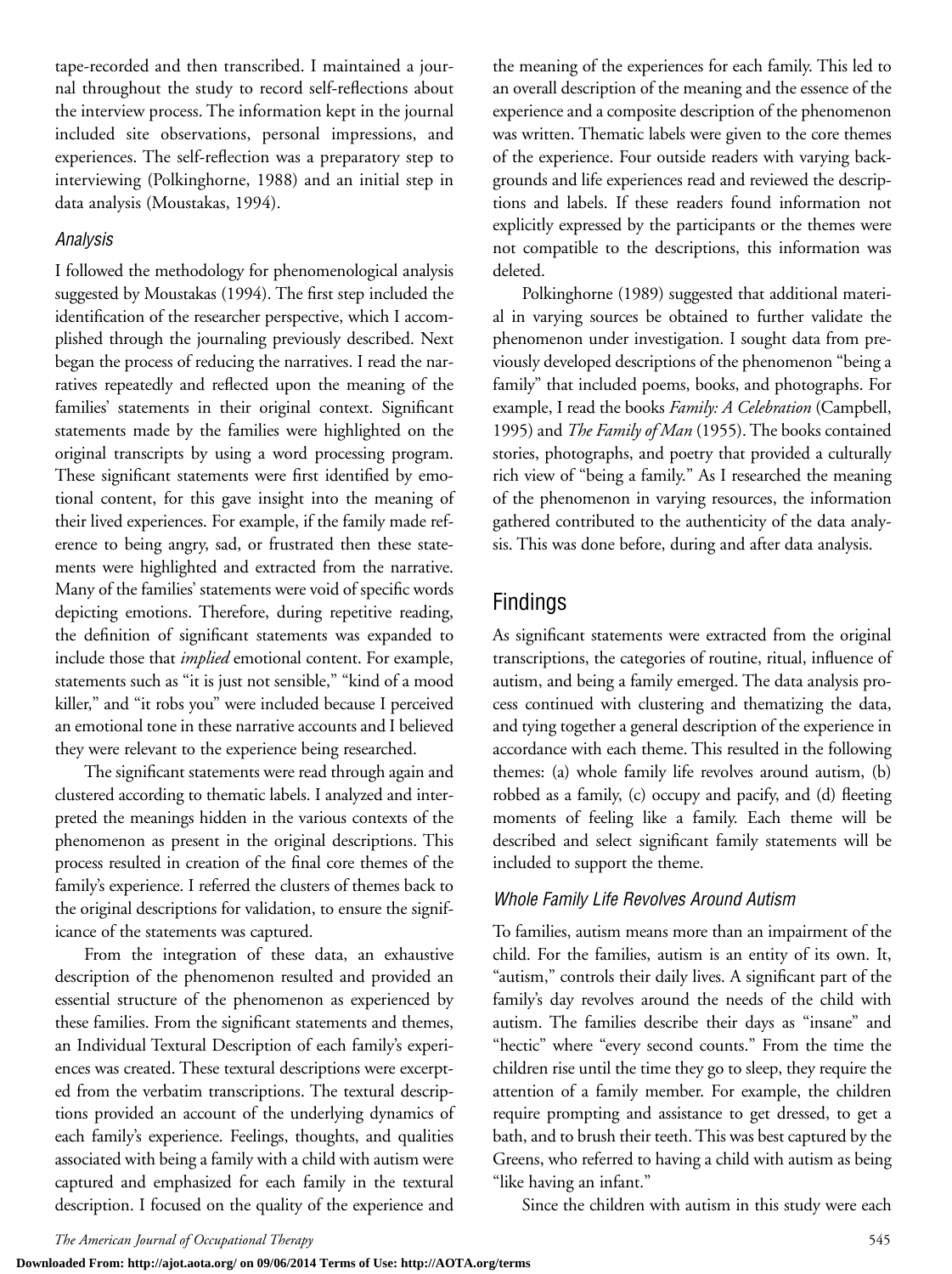tape-recorded and then transcribed. I maintained a journal throughout the study to record self-reflections about the interview process. The information kept in the journal included site observations, personal impressions, and experiences. The self-reflection was a preparatory step to interviewing (Polkinghorne, 1988) and an initial step in data analysis (Moustakas, 1994).

#### *Analysis*

I followed the methodology for phenomenological analysis suggested by Moustakas (1994). The first step included the identification of the researcher perspective, which I accomplished through the journaling previously described. Next began the process of reducing the narratives. I read the narratives repeatedly and reflected upon the meaning of the families' statements in their original context. Significant statements made by the families were highlighted on the original transcripts by using a word processing program. These significant statements were first identified by emotional content, for this gave insight into the meaning of their lived experiences. For example, if the family made reference to being angry, sad, or frustrated then these statements were highlighted and extracted from the narrative. Many of the families' statements were void of specific words depicting emotions. Therefore, during repetitive reading, the definition of significant statements was expanded to include those that *implied* emotional content. For example, statements such as "it is just not sensible," "kind of a mood killer," and "it robs you" were included because I perceived an emotional tone in these narrative accounts and I believed they were relevant to the experience being researched.

The significant statements were read through again and clustered according to thematic labels. I analyzed and interpreted the meanings hidden in the various contexts of the phenomenon as present in the original descriptions. This process resulted in creation of the final core themes of the family's experience. I referred the clusters of themes back to the original descriptions for validation, to ensure the significance of the statements was captured.

From the integration of these data, an exhaustive description of the phenomenon resulted and provided an essential structure of the phenomenon as experienced by these families. From the significant statements and themes, an Individual Textural Description of each family's experiences was created. These textural descriptions were excerpted from the verbatim transcriptions. The textural descriptions provided an account of the underlying dynamics of each family's experience. Feelings, thoughts, and qualities associated with being a family with a child with autism were captured and emphasized for each family in the textural description. I focused on the quality of the experience and

the meaning of the experiences for each family. This led to an overall description of the meaning and the essence of the experience and a composite description of the phenomenon was written. Thematic labels were given to the core themes of the experience. Four outside readers with varying backgrounds and life experiences read and reviewed the descriptions and labels. If these readers found information not explicitly expressed by the participants or the themes were not compatible to the descriptions, this information was deleted.

Polkinghorne (1989) suggested that additional material in varying sources be obtained to further validate the phenomenon under investigation. I sought data from previously developed descriptions of the phenomenon "being a family" that included poems, books, and photographs. For example, I read the books *Family: A Celebration* (Campbell, 1995) and *The Family of Man* (1955). The books contained stories, photographs, and poetry that provided a culturally rich view of "being a family." As I researched the meaning of the phenomenon in varying resources, the information gathered contributed to the authenticity of the data analysis. This was done before, during and after data analysis.

# Findings

As significant statements were extracted from the original transcriptions, the categories of routine, ritual, influence of autism, and being a family emerged. The data analysis process continued with clustering and thematizing the data, and tying together a general description of the experience in accordance with each theme. This resulted in the following themes: (a) whole family life revolves around autism, (b) robbed as a family, (c) occupy and pacify, and (d) fleeting moments of feeling like a family. Each theme will be described and select significant family statements will be included to support the theme.

#### *Whole Family Life Revolves Around Autism*

To families, autism means more than an impairment of the child. For the families, autism is an entity of its own. It, "autism," controls their daily lives. A significant part of the family's day revolves around the needs of the child with autism. The families describe their days as "insane" and "hectic" where "every second counts." From the time the children rise until the time they go to sleep, they require the attention of a family member. For example, the children require prompting and assistance to get dressed, to get a bath, and to brush their teeth. This was best captured by the Greens, who referred to having a child with autism as being "like having an infant."

Since the children with autism in this study were each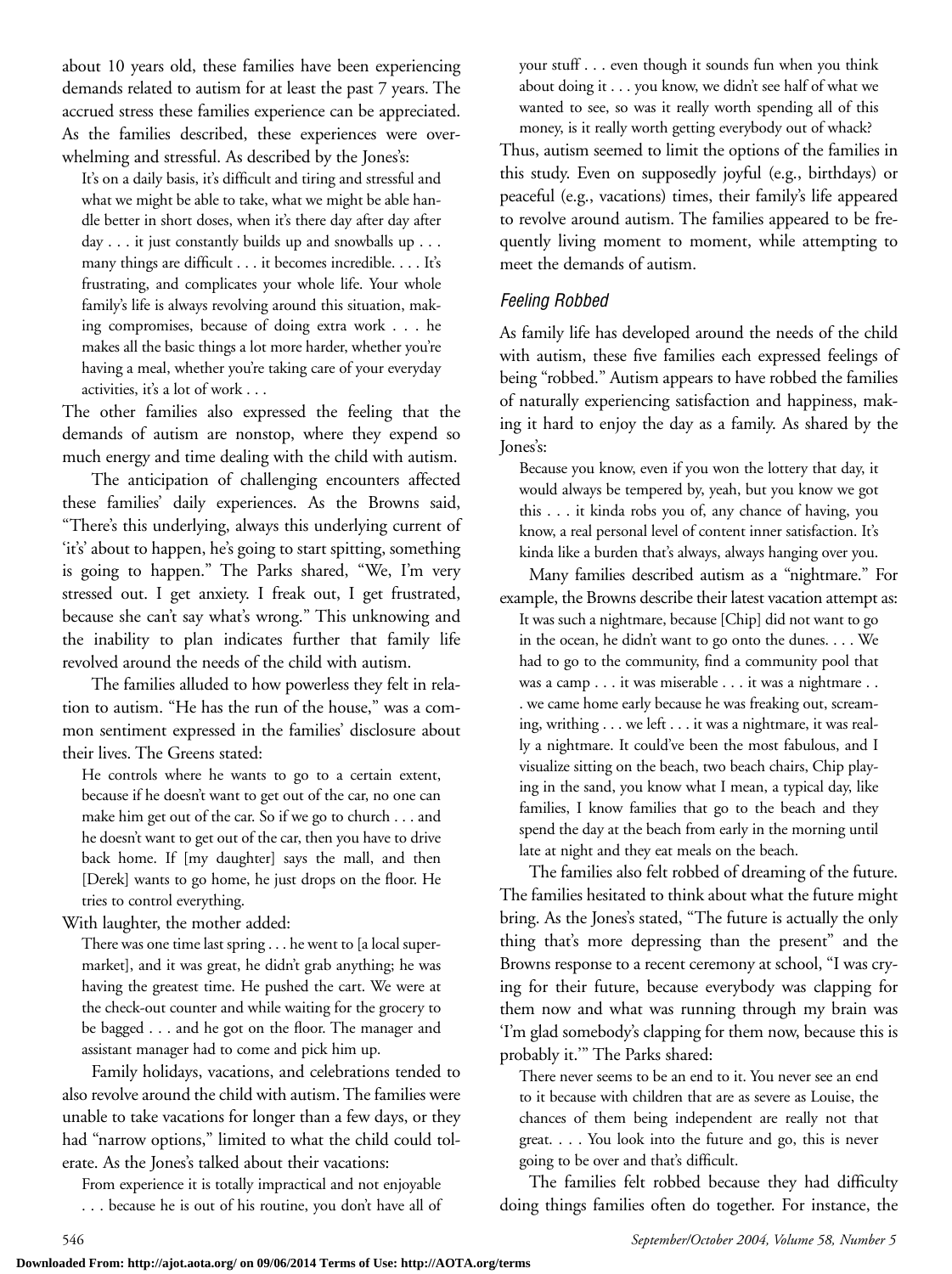about 10 years old, these families have been experiencing demands related to autism for at least the past 7 years. The accrued stress these families experience can be appreciated. As the families described, these experiences were overwhelming and stressful. As described by the Jones's:

It's on a daily basis, it's difficult and tiring and stressful and what we might be able to take, what we might be able handle better in short doses, when it's there day after day after day . . . it just constantly builds up and snowballs up . . . many things are difficult . . . it becomes incredible. . . . It's frustrating, and complicates your whole life. Your whole family's life is always revolving around this situation, making compromises, because of doing extra work . . . he makes all the basic things a lot more harder, whether you're having a meal, whether you're taking care of your everyday activities, it's a lot of work . . .

The other families also expressed the feeling that the demands of autism are nonstop, where they expend so much energy and time dealing with the child with autism.

The anticipation of challenging encounters affected these families' daily experiences. As the Browns said, "There's this underlying, always this underlying current of 'it's' about to happen, he's going to start spitting, something is going to happen." The Parks shared, "We, I'm very stressed out. I get anxiety. I freak out, I get frustrated, because she can't say what's wrong." This unknowing and the inability to plan indicates further that family life revolved around the needs of the child with autism.

The families alluded to how powerless they felt in relation to autism. "He has the run of the house," was a common sentiment expressed in the families' disclosure about their lives. The Greens stated:

He controls where he wants to go to a certain extent, because if he doesn't want to get out of the car, no one can make him get out of the car. So if we go to church . . . and he doesn't want to get out of the car, then you have to drive back home. If [my daughter] says the mall, and then [Derek] wants to go home, he just drops on the floor. He tries to control everything.

With laughter, the mother added:

There was one time last spring . . . he went to [a local supermarket], and it was great, he didn't grab anything; he was having the greatest time. He pushed the cart. We were at the check-out counter and while waiting for the grocery to be bagged . . . and he got on the floor. The manager and assistant manager had to come and pick him up.

Family holidays, vacations, and celebrations tended to also revolve around the child with autism. The families were unable to take vacations for longer than a few days, or they had "narrow options," limited to what the child could tolerate. As the Jones's talked about their vacations:

From experience it is totally impractical and not enjoyable . . . because he is out of his routine, you don't have all of your stuff . . . even though it sounds fun when you think about doing it . . . you know, we didn't see half of what we wanted to see, so was it really worth spending all of this money, is it really worth getting everybody out of whack?

Thus, autism seemed to limit the options of the families in this study. Even on supposedly joyful (e.g., birthdays) or peaceful (e.g., vacations) times, their family's life appeared to revolve around autism. The families appeared to be frequently living moment to moment, while attempting to meet the demands of autism.

#### *Feeling Robbed*

As family life has developed around the needs of the child with autism, these five families each expressed feelings of being "robbed." Autism appears to have robbed the families of naturally experiencing satisfaction and happiness, making it hard to enjoy the day as a family. As shared by the Jones's:

Because you know, even if you won the lottery that day, it would always be tempered by, yeah, but you know we got this . . . it kinda robs you of, any chance of having, you know, a real personal level of content inner satisfaction. It's kinda like a burden that's always, always hanging over you.

Many families described autism as a "nightmare." For example, the Browns describe their latest vacation attempt as: It was such a nightmare, because [Chip] did not want to go in the ocean, he didn't want to go onto the dunes. . . . We had to go to the community, find a community pool that was a camp . . . it was miserable . . . it was a nightmare . . . we came home early because he was freaking out, screaming, writhing . . . we left . . . it was a nightmare, it was really a nightmare. It could've been the most fabulous, and I visualize sitting on the beach, two beach chairs, Chip playing in the sand, you know what I mean, a typical day, like families, I know families that go to the beach and they spend the day at the beach from early in the morning until late at night and they eat meals on the beach.

The families also felt robbed of dreaming of the future. The families hesitated to think about what the future might bring. As the Jones's stated, "The future is actually the only thing that's more depressing than the present" and the Browns response to a recent ceremony at school, "I was crying for their future, because everybody was clapping for them now and what was running through my brain was 'I'm glad somebody's clapping for them now, because this is probably it.'" The Parks shared:

There never seems to be an end to it. You never see an end to it because with children that are as severe as Louise, the chances of them being independent are really not that great. . . . You look into the future and go, this is never going to be over and that's difficult.

The families felt robbed because they had difficulty doing things families often do together. For instance, the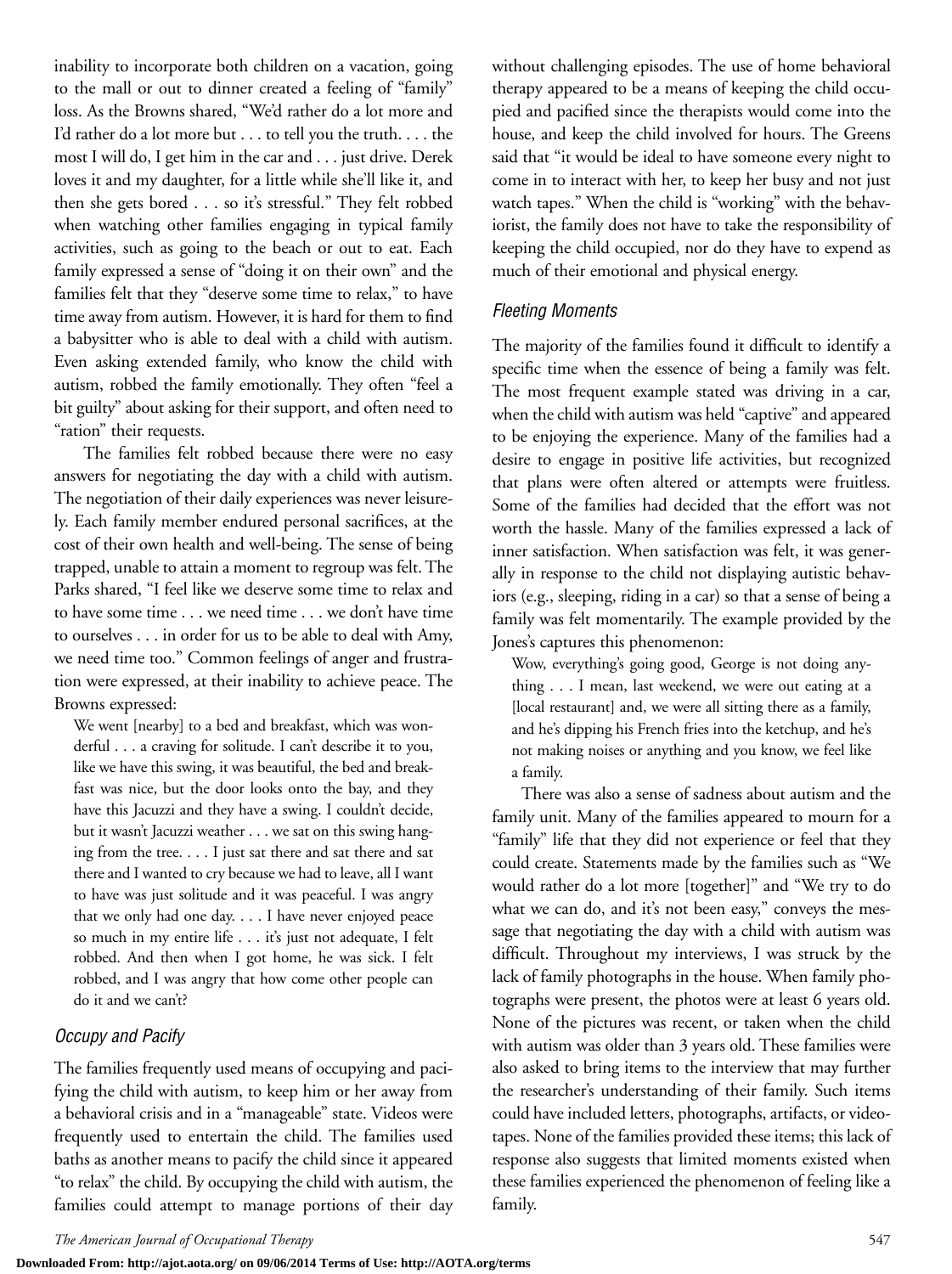inability to incorporate both children on a vacation, going to the mall or out to dinner created a feeling of "family" loss. As the Browns shared, "We'd rather do a lot more and I'd rather do a lot more but . . . to tell you the truth. . . . the most I will do, I get him in the car and . . . just drive. Derek loves it and my daughter, for a little while she'll like it, and then she gets bored . . . so it's stressful." They felt robbed when watching other families engaging in typical family activities, such as going to the beach or out to eat. Each family expressed a sense of "doing it on their own" and the families felt that they "deserve some time to relax," to have time away from autism. However, it is hard for them to find a babysitter who is able to deal with a child with autism. Even asking extended family, who know the child with autism, robbed the family emotionally. They often "feel a bit guilty" about asking for their support, and often need to "ration" their requests.

The families felt robbed because there were no easy answers for negotiating the day with a child with autism. The negotiation of their daily experiences was never leisurely. Each family member endured personal sacrifices, at the cost of their own health and well-being. The sense of being trapped, unable to attain a moment to regroup was felt. The Parks shared, "I feel like we deserve some time to relax and to have some time . . . we need time . . . we don't have time to ourselves . . . in order for us to be able to deal with Amy, we need time too." Common feelings of anger and frustration were expressed, at their inability to achieve peace. The Browns expressed:

We went [nearby] to a bed and breakfast, which was wonderful . . . a craving for solitude. I can't describe it to you, like we have this swing, it was beautiful, the bed and breakfast was nice, but the door looks onto the bay, and they have this Jacuzzi and they have a swing. I couldn't decide, but it wasn't Jacuzzi weather . . . we sat on this swing hanging from the tree. . . . I just sat there and sat there and sat there and I wanted to cry because we had to leave, all I want to have was just solitude and it was peaceful. I was angry that we only had one day. . . . I have never enjoyed peace so much in my entire life . . . it's just not adequate, I felt robbed. And then when I got home, he was sick. I felt robbed, and I was angry that how come other people can do it and we can't?

#### *Occupy and Pacify*

The families frequently used means of occupying and pacifying the child with autism, to keep him or her away from a behavioral crisis and in a "manageable" state. Videos were frequently used to entertain the child. The families used baths as another means to pacify the child since it appeared "to relax" the child. By occupying the child with autism, the families could attempt to manage portions of their day without challenging episodes. The use of home behavioral therapy appeared to be a means of keeping the child occupied and pacified since the therapists would come into the house, and keep the child involved for hours. The Greens said that "it would be ideal to have someone every night to come in to interact with her, to keep her busy and not just watch tapes." When the child is "working" with the behaviorist, the family does not have to take the responsibility of keeping the child occupied, nor do they have to expend as much of their emotional and physical energy.

#### *Fleeting Moments*

The majority of the families found it difficult to identify a specific time when the essence of being a family was felt. The most frequent example stated was driving in a car, when the child with autism was held "captive" and appeared to be enjoying the experience. Many of the families had a desire to engage in positive life activities, but recognized that plans were often altered or attempts were fruitless. Some of the families had decided that the effort was not worth the hassle. Many of the families expressed a lack of inner satisfaction. When satisfaction was felt, it was generally in response to the child not displaying autistic behaviors (e.g., sleeping, riding in a car) so that a sense of being a family was felt momentarily. The example provided by the Jones's captures this phenomenon:

Wow, everything's going good, George is not doing anything . . . I mean, last weekend, we were out eating at a [local restaurant] and, we were all sitting there as a family, and he's dipping his French fries into the ketchup, and he's not making noises or anything and you know, we feel like a family.

There was also a sense of sadness about autism and the family unit. Many of the families appeared to mourn for a "family" life that they did not experience or feel that they could create. Statements made by the families such as "We would rather do a lot more [together]" and "We try to do what we can do, and it's not been easy," conveys the message that negotiating the day with a child with autism was difficult. Throughout my interviews, I was struck by the lack of family photographs in the house. When family photographs were present, the photos were at least 6 years old. None of the pictures was recent, or taken when the child with autism was older than 3 years old. These families were also asked to bring items to the interview that may further the researcher's understanding of their family. Such items could have included letters, photographs, artifacts, or videotapes. None of the families provided these items; this lack of response also suggests that limited moments existed when these families experienced the phenomenon of feeling like a family.

**Downloaded From: http://ajot.aota.org/ on 09/06/2014 Terms of Use: http://AOTA.org/terms**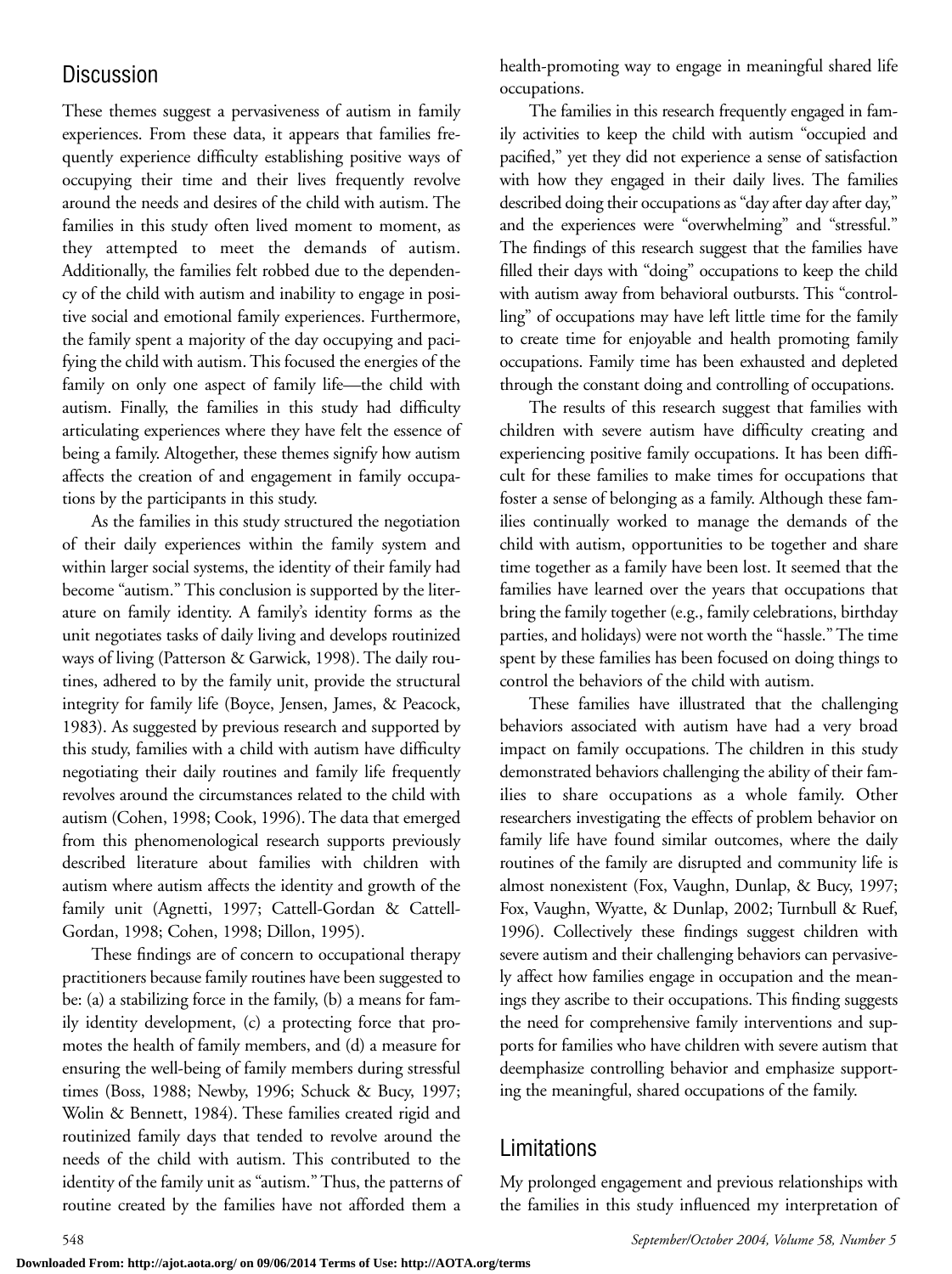# **Discussion**

These themes suggest a pervasiveness of autism in family experiences. From these data, it appears that families frequently experience difficulty establishing positive ways of occupying their time and their lives frequently revolve around the needs and desires of the child with autism. The families in this study often lived moment to moment, as they attempted to meet the demands of autism. Additionally, the families felt robbed due to the dependency of the child with autism and inability to engage in positive social and emotional family experiences. Furthermore, the family spent a majority of the day occupying and pacifying the child with autism. This focused the energies of the family on only one aspect of family life—the child with autism. Finally, the families in this study had difficulty articulating experiences where they have felt the essence of being a family. Altogether, these themes signify how autism affects the creation of and engagement in family occupations by the participants in this study.

As the families in this study structured the negotiation of their daily experiences within the family system and within larger social systems, the identity of their family had become "autism." This conclusion is supported by the literature on family identity. A family's identity forms as the unit negotiates tasks of daily living and develops routinized ways of living (Patterson & Garwick, 1998). The daily routines, adhered to by the family unit, provide the structural integrity for family life (Boyce, Jensen, James, & Peacock, 1983). As suggested by previous research and supported by this study, families with a child with autism have difficulty negotiating their daily routines and family life frequently revolves around the circumstances related to the child with autism (Cohen, 1998; Cook, 1996). The data that emerged from this phenomenological research supports previously described literature about families with children with autism where autism affects the identity and growth of the family unit (Agnetti, 1997; Cattell-Gordan & Cattell-Gordan, 1998; Cohen, 1998; Dillon, 1995).

These findings are of concern to occupational therapy practitioners because family routines have been suggested to be: (a) a stabilizing force in the family, (b) a means for family identity development, (c) a protecting force that promotes the health of family members, and (d) a measure for ensuring the well-being of family members during stressful times (Boss, 1988; Newby, 1996; Schuck & Bucy, 1997; Wolin & Bennett, 1984). These families created rigid and routinized family days that tended to revolve around the needs of the child with autism. This contributed to the identity of the family unit as "autism." Thus, the patterns of routine created by the families have not afforded them a

health-promoting way to engage in meaningful shared life occupations.

The families in this research frequently engaged in family activities to keep the child with autism "occupied and pacified," yet they did not experience a sense of satisfaction with how they engaged in their daily lives. The families described doing their occupations as "day after day after day," and the experiences were "overwhelming" and "stressful." The findings of this research suggest that the families have filled their days with "doing" occupations to keep the child with autism away from behavioral outbursts. This "controlling" of occupations may have left little time for the family to create time for enjoyable and health promoting family occupations. Family time has been exhausted and depleted through the constant doing and controlling of occupations.

The results of this research suggest that families with children with severe autism have difficulty creating and experiencing positive family occupations. It has been difficult for these families to make times for occupations that foster a sense of belonging as a family. Although these families continually worked to manage the demands of the child with autism, opportunities to be together and share time together as a family have been lost. It seemed that the families have learned over the years that occupations that bring the family together (e.g., family celebrations, birthday parties, and holidays) were not worth the "hassle." The time spent by these families has been focused on doing things to control the behaviors of the child with autism.

These families have illustrated that the challenging behaviors associated with autism have had a very broad impact on family occupations. The children in this study demonstrated behaviors challenging the ability of their families to share occupations as a whole family. Other researchers investigating the effects of problem behavior on family life have found similar outcomes, where the daily routines of the family are disrupted and community life is almost nonexistent (Fox, Vaughn, Dunlap, & Bucy, 1997; Fox, Vaughn, Wyatte, & Dunlap, 2002; Turnbull & Ruef, 1996). Collectively these findings suggest children with severe autism and their challenging behaviors can pervasively affect how families engage in occupation and the meanings they ascribe to their occupations. This finding suggests the need for comprehensive family interventions and supports for families who have children with severe autism that deemphasize controlling behavior and emphasize supporting the meaningful, shared occupations of the family.

# Limitations

My prolonged engagement and previous relationships with the families in this study influenced my interpretation of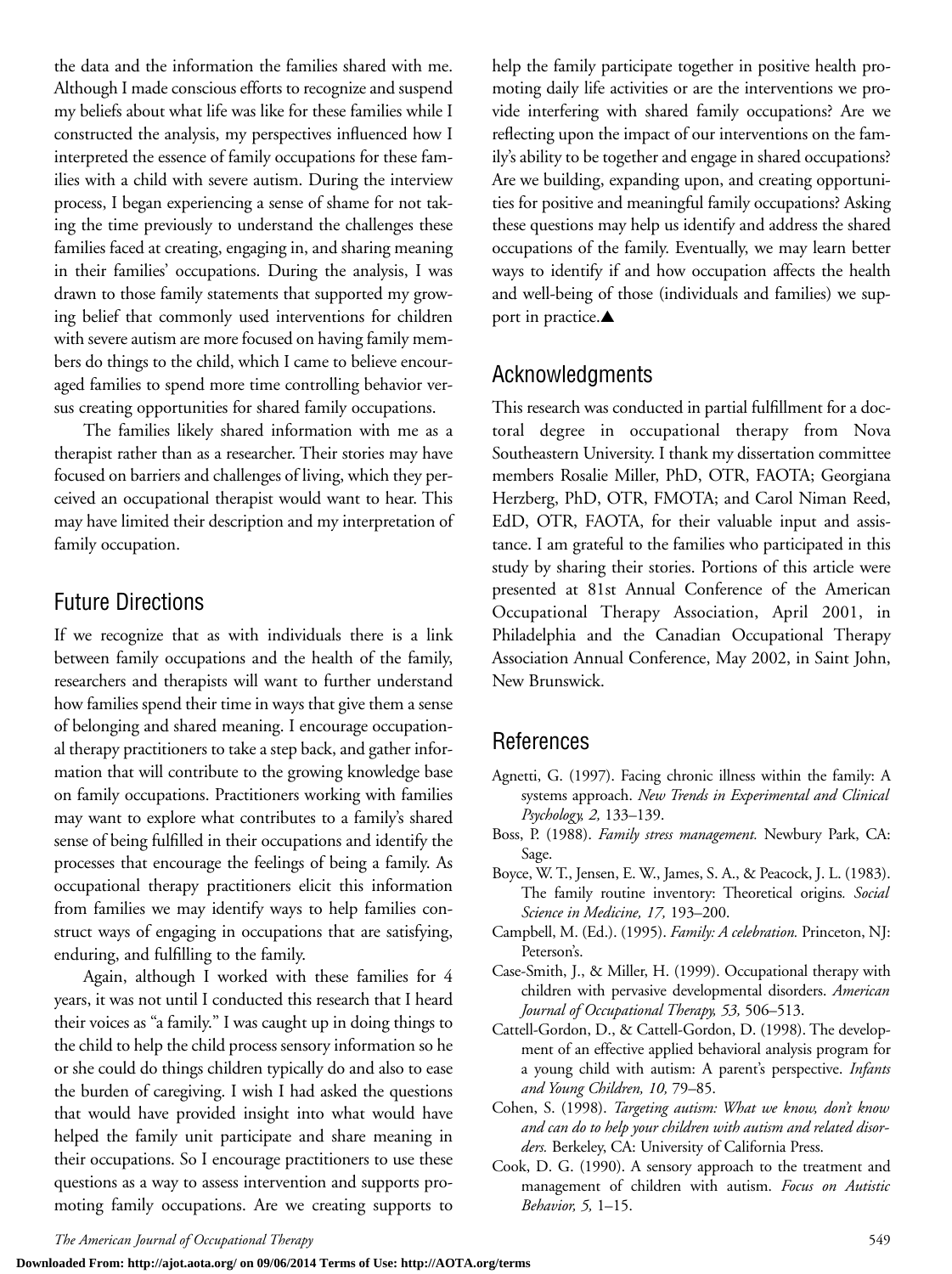the data and the information the families shared with me. Although I made conscious efforts to recognize and suspend my beliefs about what life was like for these families while I constructed the analysis, my perspectives influenced how I interpreted the essence of family occupations for these families with a child with severe autism. During the interview process, I began experiencing a sense of shame for not taking the time previously to understand the challenges these families faced at creating, engaging in, and sharing meaning in their families' occupations. During the analysis, I was drawn to those family statements that supported my growing belief that commonly used interventions for children with severe autism are more focused on having family members do things to the child, which I came to believe encouraged families to spend more time controlling behavior versus creating opportunities for shared family occupations.

The families likely shared information with me as a therapist rather than as a researcher. Their stories may have focused on barriers and challenges of living, which they perceived an occupational therapist would want to hear. This may have limited their description and my interpretation of family occupation.

## Future Directions

If we recognize that as with individuals there is a link between family occupations and the health of the family, researchers and therapists will want to further understand how families spend their time in ways that give them a sense of belonging and shared meaning. I encourage occupational therapy practitioners to take a step back, and gather information that will contribute to the growing knowledge base on family occupations. Practitioners working with families may want to explore what contributes to a family's shared sense of being fulfilled in their occupations and identify the processes that encourage the feelings of being a family. As occupational therapy practitioners elicit this information from families we may identify ways to help families construct ways of engaging in occupations that are satisfying, enduring, and fulfilling to the family.

Again, although I worked with these families for 4 years, it was not until I conducted this research that I heard their voices as "a family." I was caught up in doing things to the child to help the child process sensory information so he or she could do things children typically do and also to ease the burden of caregiving. I wish I had asked the questions that would have provided insight into what would have helped the family unit participate and share meaning in their occupations. So I encourage practitioners to use these questions as a way to assess intervention and supports promoting family occupations. Are we creating supports to help the family participate together in positive health promoting daily life activities or are the interventions we provide interfering with shared family occupations? Are we reflecting upon the impact of our interventions on the family's ability to be together and engage in shared occupations? Are we building, expanding upon, and creating opportunities for positive and meaningful family occupations? Asking these questions may help us identify and address the shared occupations of the family. Eventually, we may learn better ways to identify if and how occupation affects the health and well-being of those (individuals and families) we support in practice.▲

## Acknowledgments

This research was conducted in partial fulfillment for a doctoral degree in occupational therapy from Nova Southeastern University. I thank my dissertation committee members Rosalie Miller, PhD, OTR, FAOTA; Georgiana Herzberg, PhD, OTR, FMOTA; and Carol Niman Reed, EdD, OTR, FAOTA, for their valuable input and assistance. I am grateful to the families who participated in this study by sharing their stories. Portions of this article were presented at 81st Annual Conference of the American Occupational Therapy Association, April 2001, in Philadelphia and the Canadian Occupational Therapy Association Annual Conference, May 2002, in Saint John, New Brunswick.

## References

- Agnetti, G. (1997). Facing chronic illness within the family: A systems approach. *New Trends in Experimental and Clinical Psychology, 2,* 133–139.
- Boss, P. (1988). *Family stress management.* Newbury Park, CA: Sage.
- Boyce, W. T., Jensen, E. W., James, S. A., & Peacock, J. L. (1983). The family routine inventory: Theoretical origins*. Social Science in Medicine, 17,* 193–200.
- Campbell, M. (Ed.). (1995). *Family: A celebration.* Princeton, NJ: Peterson's.
- Case-Smith, J., & Miller, H. (1999). Occupational therapy with children with pervasive developmental disorders. *American Journal of Occupational Therapy, 53,* 506–513.
- Cattell-Gordon, D., & Cattell-Gordon, D. (1998). The development of an effective applied behavioral analysis program for a young child with autism: A parent's perspective. *Infants and Young Children, 10,* 79–85.
- Cohen, S. (1998). *Targeting autism: What we know, don't know and can do to help your children with autism and related disorders.* Berkeley, CA: University of California Press.
- Cook, D. G. (1990). A sensory approach to the treatment and management of children with autism. *Focus on Autistic Behavior, 5,* 1–15.